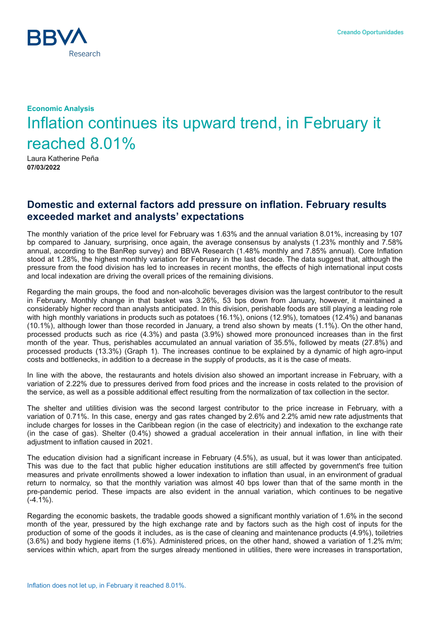

## **Economic Analysis** Inflation continues its upward trend, in February it reached 8.01%

Laura Katherine Peña **07/03/2022**

## **Domestic and external factors add pressure on inflation. February results exceeded market and analysts' expectations**

The monthly variation of the price level for February was 1.63% and the annual variation 8.01%, increasing by 107 bp compared to January, surprising, once again, the average consensus by analysts (1.23% monthly and 7.58% annual, according to the BanRep survey) and BBVA Research (1.48% monthly and 7.85% annual). Core Inflation stood at 1.28%, the highest monthly variation for February in the last decade. The data suggest that, although the pressure from the food division has led to increases in recent months, the effects of high international input costs and local indexation are driving the overall prices of the remaining divisions.

Regarding the main groups, the food and non-alcoholic beverages division was the largest contributor to the result in February. Monthly change in that basket was 3.26%, 53 bps down from January, however, it maintained a considerably higher record than analysts anticipated. In this division, perishable foods are still playing a leading role with high monthly variations in products such as potatoes (16.1%), onions (12.9%), tomatoes (12.4%) and bananas (10.1%), although lower than those recorded in January, a trend also shown by meats (1.1%). On the other hand, processed products such as rice (4.3%) and pasta (3.9%) showed more pronounced increases than in the first month of the year. Thus, perishables accumulated an annual variation of 35.5%, followed by meats (27.8%) and processed products (13.3%) (Graph 1). The increases continue to be explained by a dynamic of high agro-input costs and bottlenecks, in addition to a decrease in the supply of products, as it is the case of meats.

In line with the above, the restaurants and hotels division also showed an important increase in February, with a variation of 2.22% due to pressures derived from food prices and the increase in costs related to the provision of the service, as well as a possible additional effect resulting from the normalization of tax collection in the sector.

The shelter and utilities division was the second largest contributor to the price increase in February, with a variation of 0.71%. In this case, energy and gas rates changed by 2.6% and 2.2% amid new rate adjustments that include charges for losses in the Caribbean region (in the case of electricity) and indexation to the exchange rate (in the case of gas). Shelter (0.4%) showed a gradual acceleration in their annual inflation, in line with their adjustment to inflation caused in 2021.

The education division had a significant increase in February (4.5%), as usual, but it was lower than anticipated. This was due to the fact that public higher education institutions are still affected by government's free tuition measures and private enrollments showed a lower indexation to inflation than usual, in an environment of gradual return to normalcy, so that the monthly variation was almost 40 bps lower than that of the same month in the pre-pandemic period. These impacts are also evident in the annual variation, which continues to be negative  $(-4.1\%)$ .

Regarding the economic baskets, the tradable goods showed a significant monthly variation of 1.6% in the second month of the year, pressured by the high exchange rate and by factors such as the high cost of inputs for the production of some of the goods it includes, as is the case of cleaning and maintenance products (4.9%), toiletries (3.6%) and body hygiene items (1.6%). Administered prices, on the other hand, showed a variation of 1.2% m/m; services within which, apart from the surges already mentioned in utilities, there were increases in transportation,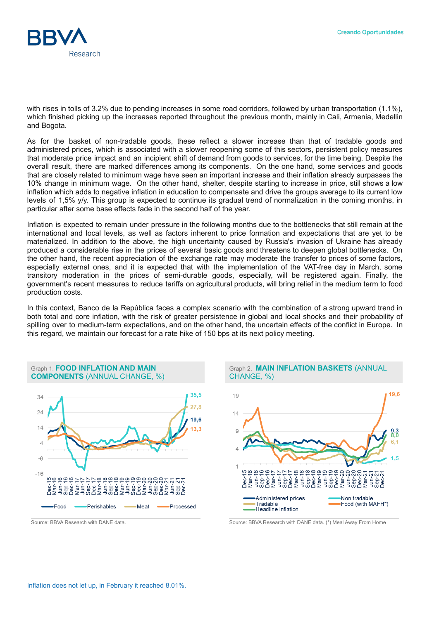

with rises in tolls of 3.2% due to pending increases in some road corridors, followed by urban transportation (1.1%), which finished picking up the increases reported throughout the previous month, mainly in Cali, Armenia, Medellin and Bogota.

As for the basket of non-tradable goods, these reflect a slower increase than that of tradable goods and administered prices, which is associated with a slower reopening some of this sectors, persistent policy measures that moderate price impact and an incipient shift of demand from goods to services, for the time being. Despite the overall result, there are marked differences among its components. On the one hand, some services and goods that are closely related to minimum wage have seen an important increase and their inflation already surpasses the 10% change in minimum wage. On the other hand, shelter, despite starting to increase in price, still shows a low inflation which adds to negative inflation in education to compensate and drive the groups average to its current low levels of 1,5% y/y. This group is expected to continue its gradual trend of normalization in the coming months, in particular after some base effects fade in the second half of the year.

Inflation is expected to remain under pressure in the following months due to the bottlenecks that still remain at the international and local levels, as well as factors inherent to price formation and expectations that are yet to be materialized. In addition to the above, the high uncertainty caused by Russia's invasion of Ukraine has already produced a considerable rise in the prices of several basic goods and threatens to deepen global bottlenecks. On the other hand, the recent appreciation of the exchange rate may moderate the transfer to prices of some factors, especially external ones, and it is expected that with the implementation of the VAT-free day in March, some transitory moderation in the prices of semi-durable goods, especially, will be registered again. Finally, the government's recent measures to reduce tariffs on agricultural products, will bring relief in the medium term to food production costs.

In this context, Banco de la República faces a complex scenario with the combination of a strong upward trend in both total and core inflation, with the risk of greater persistence in global and local shocks and their probability of spilling over to medium-term expectations, and on the other hand, the uncertain effects of the conflict in Europe. In this regard, we maintain our forecast for a rate hike of 150 bps at its next policy meeting.



Graph 1. **FOOD INFLATION AND MAIN COMPONENTS** (ANNUAL CHANGE, %)

## Graph 2. **MAIN INFLATION BASKETS** (ANNUAL CHANGE, %)



Source: BBVA Research with DANE data. Source: BBVA Research with DANE data. (\*) Meal Away From Home